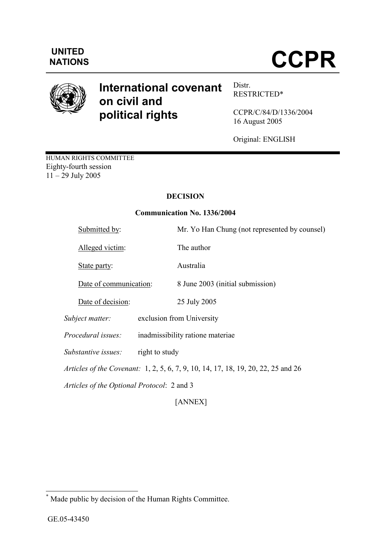

# International covenant on civil and political rights

Distr. RESTRICTED\*

CCPR/C/84/D/1336/2004 16 August 2005

Original: ENGLISH

HUMAN RIGHTS COMMITTEE Eighty-fourth session 11 – 29 July 2005

# DECISION

## Communication No. 1336/2004

|                                                                                                                                        | Submitted by:             | Mr. Yo Han Chung (not represented by counsel) |  |
|----------------------------------------------------------------------------------------------------------------------------------------|---------------------------|-----------------------------------------------|--|
|                                                                                                                                        | Alleged victim:           | The author                                    |  |
|                                                                                                                                        | State party:              | Australia                                     |  |
|                                                                                                                                        | Date of communication:    | 8 June 2003 (initial submission)              |  |
|                                                                                                                                        | Date of decision:         | 25 July 2005                                  |  |
|                                                                                                                                        | Subject matter:           | exclusion from University                     |  |
|                                                                                                                                        | <i>Procedural issues:</i> | inadmissibility ratione materiae              |  |
|                                                                                                                                        | Substantive issues:       | right to study                                |  |
| <i>Articles of the Covenant:</i> 1, 2, 5, 6, 7, 9, 10, 14, 17, 18, 19, 20, 22, 25 and 26<br>Articles of the Optional Protocol: 2 and 3 |                           |                                               |  |
|                                                                                                                                        |                           |                                               |  |
|                                                                                                                                        |                           |                                               |  |

[ANNEX]

 \* Made public by decision of the Human Rights Committee.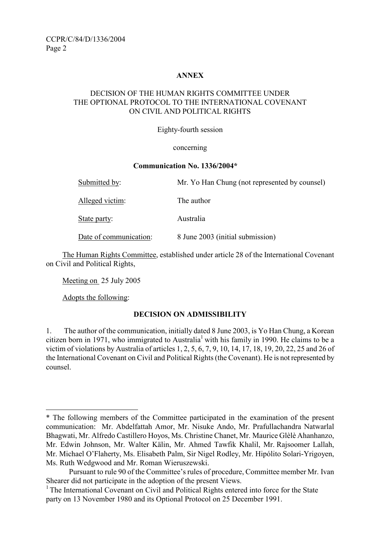## ANNEX

## DECISION OF THE HUMAN RIGHTS COMMITTEE UNDER THE OPTIONAL PROTOCOL TO THE INTERNATIONAL COVENANT ON CIVIL AND POLITICAL RIGHTS

#### Eighty-fourth session

#### concerning

#### Communication No. 1336/2004\*

| Submitted by:          | Mr. Yo Han Chung (not represented by counsel) |
|------------------------|-----------------------------------------------|
| Alleged victim:        | The author                                    |
| State party:           | Australia                                     |
| Date of communication: | 8 June 2003 (initial submission)              |

 The Human Rights Committee, established under article 28 of the International Covenant on Civil and Political Rights,

Meeting on 25 July 2005

Adopts the following:

 $\overline{a}$ 

#### DECISION ON ADMISSIBILITY

1. The author of the communication, initially dated 8 June 2003, is Yo Han Chung, a Korean citizen born in 1971, who immigrated to Australia<sup>1</sup> with his family in 1990. He claims to be a victim of violations by Australia of articles 1, 2, 5, 6, 7, 9, 10, 14, 17, 18, 19, 20, 22, 25 and 26 of the International Covenant on Civil and Political Rights (the Covenant). He is not represented by counsel.

<sup>\*</sup> The following members of the Committee participated in the examination of the present communication: Mr. Abdelfattah Amor, Mr. Nisuke Ando, Mr. Prafullachandra Natwarlal Bhagwati, Mr. Alfredo Castillero Hoyos, Ms. Christine Chanet, Mr. Maurice Glèlè Ahanhanzo, Mr. Edwin Johnson, Mr. Walter Kälin, Mr. Ahmed Tawfik Khalil, Mr. Rajsoomer Lallah, Mr. Michael O'Flaherty, Ms. Elisabeth Palm, Sir Nigel Rodley, Mr. Hipólito Solari-Yrigoyen, Ms. Ruth Wedgwood and Mr. Roman Wieruszewski.

Pursuant to rule 90 of the Committee's rules of procedure, Committee member Mr. Ivan Shearer did not participate in the adoption of the present Views.

<sup>&</sup>lt;sup>1</sup> The International Covenant on Civil and Political Rights entered into force for the State party on 13 November 1980 and its Optional Protocol on 25 December 1991.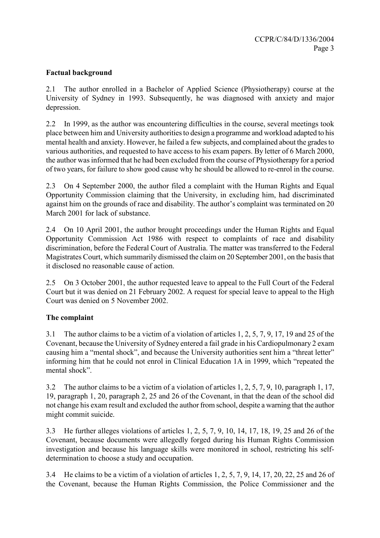## Factual background

2.1 The author enrolled in a Bachelor of Applied Science (Physiotherapy) course at the University of Sydney in 1993. Subsequently, he was diagnosed with anxiety and major depression.

2.2 In 1999, as the author was encountering difficulties in the course, several meetings took place between him and University authorities to design a programme and workload adapted to his mental health and anxiety. However, he failed a few subjects, and complained about the grades to various authorities, and requested to have access to his exam papers. By letter of 6 March 2000, the author was informed that he had been excluded from the course of Physiotherapy for a period of two years, for failure to show good cause why he should be allowed to re-enrol in the course.

2.3 On 4 September 2000, the author filed a complaint with the Human Rights and Equal Opportunity Commission claiming that the University, in excluding him, had discriminated against him on the grounds of race and disability. The author's complaint was terminated on 20 March 2001 for lack of substance.

2.4 On 10 April 2001, the author brought proceedings under the Human Rights and Equal Opportunity Commission Act 1986 with respect to complaints of race and disability discrimination, before the Federal Court of Australia. The matter was transferred to the Federal Magistrates Court, which summarily dismissed the claim on 20 September 2001, on the basis that it disclosed no reasonable cause of action.

2.5 On 3 October 2001, the author requested leave to appeal to the Full Court of the Federal Court but it was denied on 21 February 2002. A request for special leave to appeal to the High Court was denied on 5 November 2002.

## The complaint

3.1 The author claims to be a victim of a violation of articles 1, 2, 5, 7, 9, 17, 19 and 25 of the Covenant, because the University of Sydney entered a fail grade in his Cardiopulmonary 2 exam causing him a "mental shock", and because the University authorities sent him a "threat letter" informing him that he could not enrol in Clinical Education 1A in 1999, which "repeated the mental shock".

3.2 The author claims to be a victim of a violation of articles 1, 2, 5, 7, 9, 10, paragraph 1, 17, 19, paragraph 1, 20, paragraph 2, 25 and 26 of the Covenant, in that the dean of the school did not change his exam result and excluded the author from school, despite a warning that the author might commit suicide.

3.3 He further alleges violations of articles 1, 2, 5, 7, 9, 10, 14, 17, 18, 19, 25 and 26 of the Covenant, because documents were allegedly forged during his Human Rights Commission investigation and because his language skills were monitored in school, restricting his selfdetermination to choose a study and occupation.

3.4 He claims to be a victim of a violation of articles 1, 2, 5, 7, 9, 14, 17, 20, 22, 25 and 26 of the Covenant, because the Human Rights Commission, the Police Commissioner and the